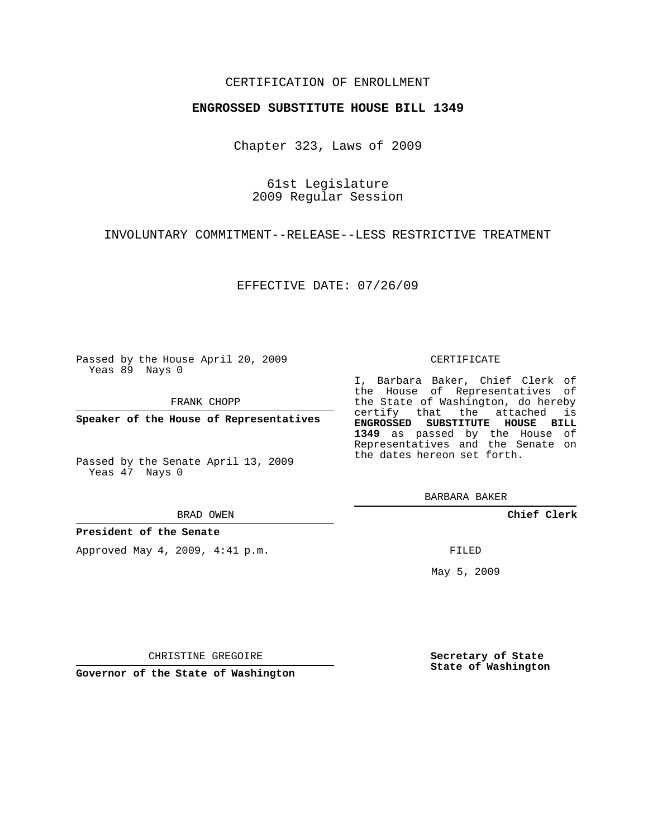## CERTIFICATION OF ENROLLMENT

### **ENGROSSED SUBSTITUTE HOUSE BILL 1349**

Chapter 323, Laws of 2009

61st Legislature 2009 Regular Session

INVOLUNTARY COMMITMENT--RELEASE--LESS RESTRICTIVE TREATMENT

EFFECTIVE DATE: 07/26/09

Passed by the House April 20, 2009 Yeas 89 Nays 0

FRANK CHOPP

**Speaker of the House of Representatives**

Passed by the Senate April 13, 2009 Yeas 47 Nays 0

#### BRAD OWEN

**President of the Senate**

Approved May 4, 2009, 4:41 p.m.

#### CERTIFICATE

I, Barbara Baker, Chief Clerk of the House of Representatives of the State of Washington, do hereby certify that the attached is **ENGROSSED SUBSTITUTE HOUSE BILL 1349** as passed by the House of Representatives and the Senate on the dates hereon set forth.

BARBARA BAKER

**Chief Clerk**

FILED

May 5, 2009

**Secretary of State State of Washington**

CHRISTINE GREGOIRE

**Governor of the State of Washington**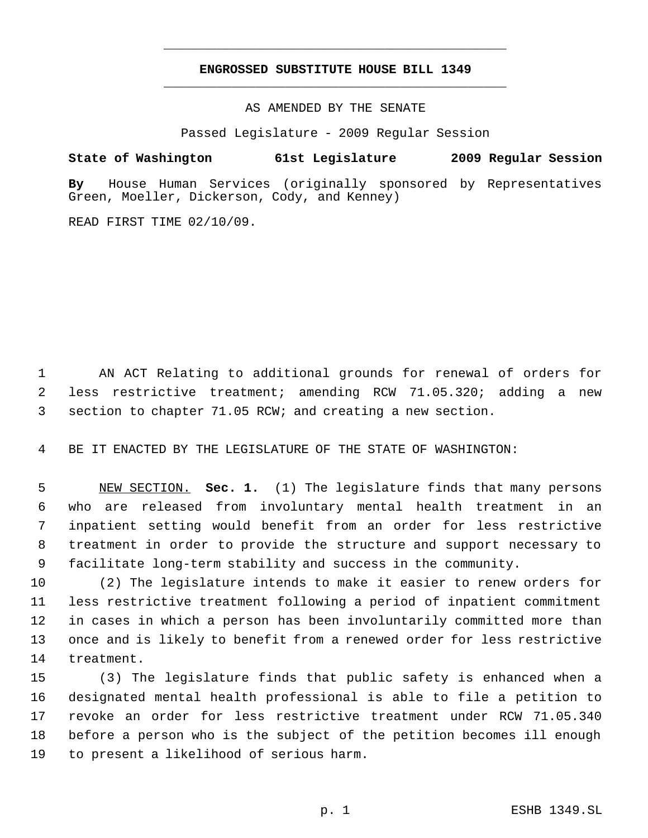# **ENGROSSED SUBSTITUTE HOUSE BILL 1349** \_\_\_\_\_\_\_\_\_\_\_\_\_\_\_\_\_\_\_\_\_\_\_\_\_\_\_\_\_\_\_\_\_\_\_\_\_\_\_\_\_\_\_\_\_

\_\_\_\_\_\_\_\_\_\_\_\_\_\_\_\_\_\_\_\_\_\_\_\_\_\_\_\_\_\_\_\_\_\_\_\_\_\_\_\_\_\_\_\_\_

AS AMENDED BY THE SENATE

Passed Legislature - 2009 Regular Session

## **State of Washington 61st Legislature 2009 Regular Session**

**By** House Human Services (originally sponsored by Representatives Green, Moeller, Dickerson, Cody, and Kenney)

READ FIRST TIME 02/10/09.

 AN ACT Relating to additional grounds for renewal of orders for less restrictive treatment; amending RCW 71.05.320; adding a new section to chapter 71.05 RCW; and creating a new section.

BE IT ENACTED BY THE LEGISLATURE OF THE STATE OF WASHINGTON:

 NEW SECTION. **Sec. 1.** (1) The legislature finds that many persons who are released from involuntary mental health treatment in an inpatient setting would benefit from an order for less restrictive treatment in order to provide the structure and support necessary to facilitate long-term stability and success in the community.

 (2) The legislature intends to make it easier to renew orders for less restrictive treatment following a period of inpatient commitment in cases in which a person has been involuntarily committed more than once and is likely to benefit from a renewed order for less restrictive treatment.

 (3) The legislature finds that public safety is enhanced when a designated mental health professional is able to file a petition to revoke an order for less restrictive treatment under RCW 71.05.340 before a person who is the subject of the petition becomes ill enough to present a likelihood of serious harm.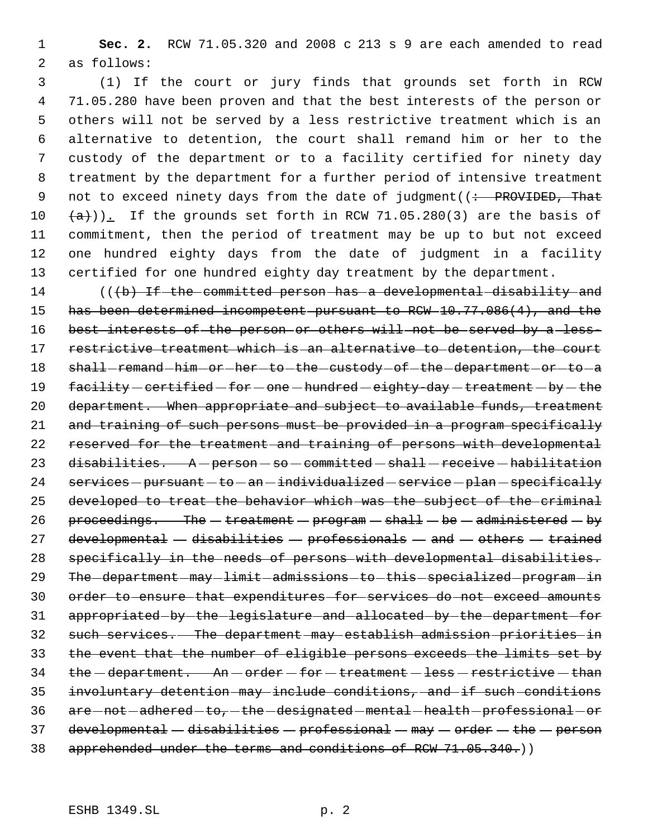1 **Sec. 2.** RCW 71.05.320 and 2008 c 213 s 9 are each amended to read 2 as follows:

 (1) If the court or jury finds that grounds set forth in RCW 71.05.280 have been proven and that the best interests of the person or others will not be served by a less restrictive treatment which is an alternative to detention, the court shall remand him or her to the custody of the department or to a facility certified for ninety day treatment by the department for a further period of intensive treatment 9 not to exceed ninety days from the date of judgment ((: PROVIDED, That  $(a)$ )). If the grounds set forth in RCW 71.05.280(3) are the basis of commitment, then the period of treatment may be up to but not exceed one hundred eighty days from the date of judgment in a facility certified for one hundred eighty day treatment by the department.

14 (((b) If the committed person has a developmental disability and 15 has been determined incompetent pursuant to RCW 10.77.086(4), and the 16 best interests of the person or others will not be served by a less-17 restrictive treatment which is an alternative to detention, the court 18 shall-remand-him-or-her-to-the-custody-of-the-department-or-to-a 19 facility - certified - for - one - hundred - eighty-day - treatment - by - the 20 department. When appropriate and subject to available funds, treatment 21 and training of such persons must be provided in a program specifically 22 reserved for the treatment and training of persons with developmental 23 disabilities. A - person - so - committed - shall - receive - habilitation  $24$  services - pursuant - to - an - individualized - service - plan - specifically 25 developed to treat the behavior which was the subject of the criminal 26 proceedings. The  $-$  treatment  $-$  program  $-$  shall  $-$  be  $-$  administered  $-$  by 27 developmental  $-$  disabilities  $-$  professionals  $-$  and  $-$  others  $-$  trained 28 specifically in the needs of persons with developmental disabilities. 29 The department - may - limit - admissions - to - this - specialized - program - in 30 order to ensure that expenditures for services do not exceed amounts 31 appropriated by the legislature and allocated by the department for 32 such services. The department may establish admission priorities in 33 the event that the number of eligible persons exceeds the limits set by  $34$  the  $-$ department. An  $-$  order  $-$  for  $-$  treatment  $-$  less  $-$  restrictive  $-$  than 35 involuntary detention may include conditions, and if such conditions 36 are -not -adhered -to, -the -designated -mental -health -professional -or  $37$  developmental - disabilities - professional - may - order - the - person 38 apprehended under the terms and conditions of RCW 71.05.340.)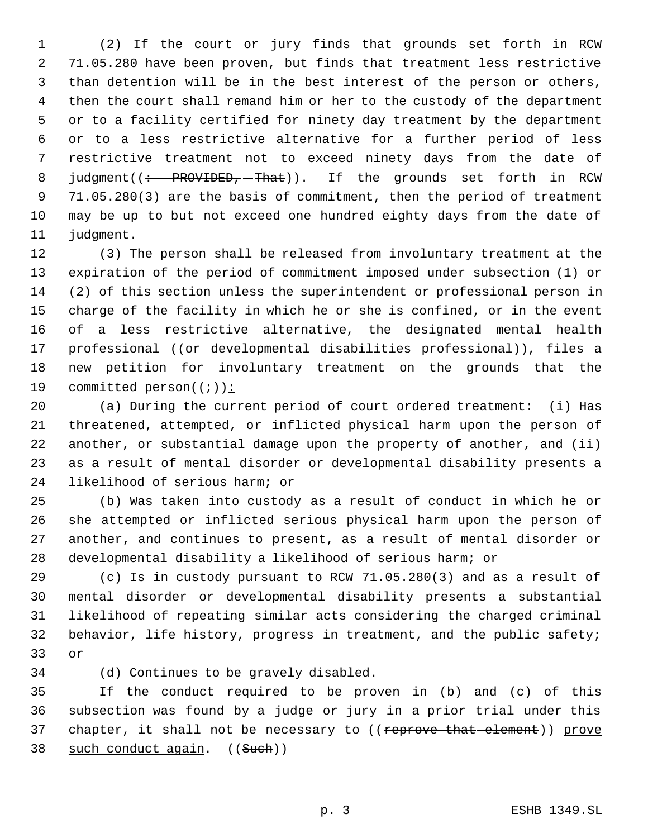(2) If the court or jury finds that grounds set forth in RCW 71.05.280 have been proven, but finds that treatment less restrictive than detention will be in the best interest of the person or others, then the court shall remand him or her to the custody of the department or to a facility certified for ninety day treatment by the department or to a less restrictive alternative for a further period of less restrictive treatment not to exceed ninety days from the date of 8 judgment((: PROVIDED, That)). If the grounds set forth in RCW 71.05.280(3) are the basis of commitment, then the period of treatment may be up to but not exceed one hundred eighty days from the date of judgment.

 (3) The person shall be released from involuntary treatment at the expiration of the period of commitment imposed under subsection (1) or (2) of this section unless the superintendent or professional person in charge of the facility in which he or she is confined, or in the event of a less restrictive alternative, the designated mental health 17 professional ((or-developmental-disabilities-professional)), files a new petition for involuntary treatment on the grounds that the 19 committed person $((\div))$ :

 (a) During the current period of court ordered treatment: (i) Has threatened, attempted, or inflicted physical harm upon the person of another, or substantial damage upon the property of another, and (ii) as a result of mental disorder or developmental disability presents a likelihood of serious harm; or

 (b) Was taken into custody as a result of conduct in which he or she attempted or inflicted serious physical harm upon the person of another, and continues to present, as a result of mental disorder or developmental disability a likelihood of serious harm; or

 (c) Is in custody pursuant to RCW 71.05.280(3) and as a result of mental disorder or developmental disability presents a substantial likelihood of repeating similar acts considering the charged criminal behavior, life history, progress in treatment, and the public safety; or

(d) Continues to be gravely disabled.

 If the conduct required to be proven in (b) and (c) of this subsection was found by a judge or jury in a prior trial under this 37 chapter, it shall not be necessary to ((reprove that element)) prove 38 such conduct again. ((Such))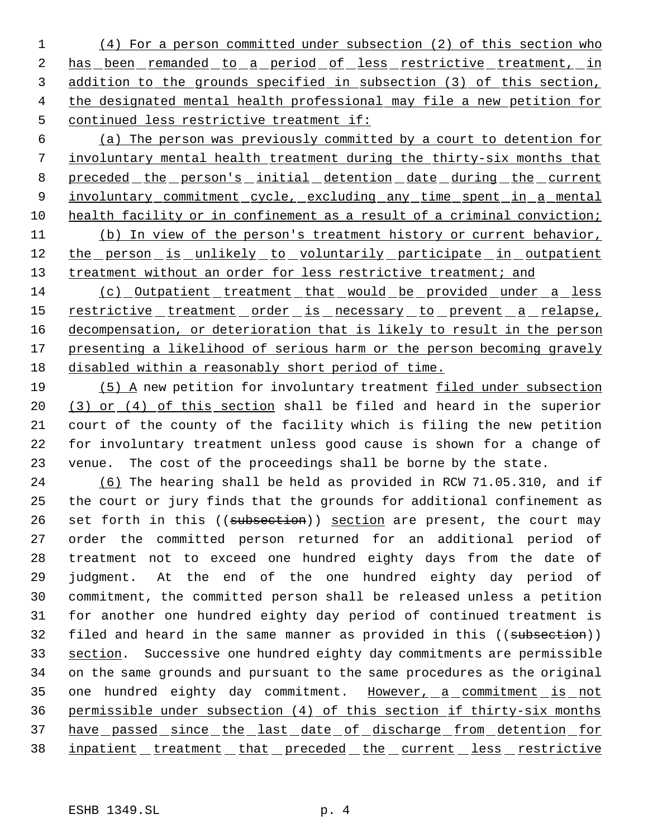(4) For a person committed under subsection (2) of this section who 2 has been remanded to a period of less restrictive treatment, in addition to the grounds specified in subsection (3) of this section, the designated mental health professional may file a new petition for continued less restrictive treatment if:

 6 (a) The person was previously committed by a court to detention for 7 involuntary mental health treatment during the thirty-six months that 8 preceded the person's initial detention date during the current 9 involuntary commitment cycle, excluding any time spent in a mental 10 health facility or in confinement as a result of a criminal conviction; 11 (b) In view of the person's treatment history or current behavior, 12 the person is unlikely to voluntarily participate in outpatient 13 treatment without an order for less restrictive treatment; and

14 (c) Outpatient treatment that would be provided under a less 15 restrictive treatment order is necessary to prevent a relapse, 16 decompensation, or deterioration that is likely to result in the person 17 presenting a likelihood of serious harm or the person becoming gravely 18 disabled within a reasonably short period of time.

19 (5) A new petition for involuntary treatment filed under subsection 20 (3) or (4) of this section shall be filed and heard in the superior 21 court of the county of the facility which is filing the new petition 22 for involuntary treatment unless good cause is shown for a change of 23 venue. The cost of the proceedings shall be borne by the state.

24 (6) The hearing shall be held as provided in RCW 71.05.310, and if 25 the court or jury finds that the grounds for additional confinement as 26 set forth in this ((subsection)) section are present, the court may 27 order the committed person returned for an additional period of 28 treatment not to exceed one hundred eighty days from the date of 29 judgment. At the end of the one hundred eighty day period of 30 commitment, the committed person shall be released unless a petition 31 for another one hundred eighty day period of continued treatment is 32 filed and heard in the same manner as provided in this ((subsection)) 33 section. Successive one hundred eighty day commitments are permissible 34 on the same grounds and pursuant to the same procedures as the original 35 one hundred eighty day commitment. However, a commitment is not 36 permissible under subsection (4) of this section if thirty-six months 37 have passed since the last date of discharge from detention for 38 inpatient treatment that preceded the current less restrictive